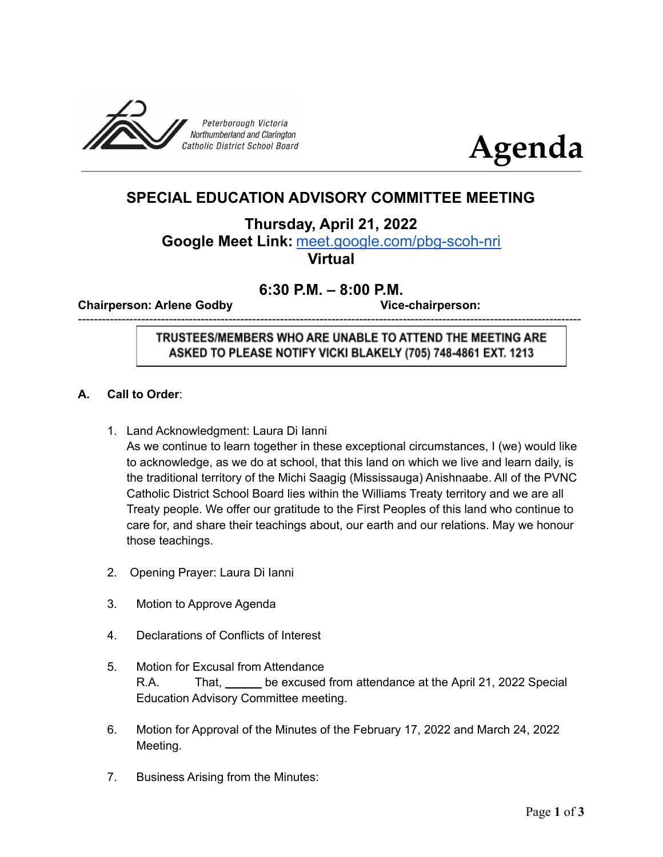



# **SPECIAL EDUCATION ADVISORY COMMITTEE MEETING**

**Thursday, April 21, 2022**

**Google Meet Link:** [meet.google.com/pbg-scoh-nri](http://meet.google.com/pbg-scoh-nri) **Virtual**

# **6:30 P.M. – 8:00 P.M.**

-------------------------------------------------------------------------------------------------------------------------------

**Chairperson: Arlene Godby Vice-chairperson:**

TRUSTEES/MEMBERS WHO ARE UNABLE TO ATTEND THE MEETING ARE ASKED TO PLEASE NOTIFY VICKI BLAKELY (705) 748-4861 EXT. 1213

# **A. Call to Order**:

- 1. Land Acknowledgment: Laura Di Ianni As we continue to learn together in these exceptional circumstances, I (we) would like to acknowledge, as we do at school, that this land on which we live and learn daily, is the traditional territory of the Michi Saagig (Mississauga) Anishnaabe. All of the PVNC Catholic District School Board lies within the Williams Treaty territory and we are all Treaty people. We offer our gratitude to the First Peoples of this land who continue to care for, and share their teachings about, our earth and our relations. May we honour those teachings.
- 2. Opening Prayer: Laura Di Ianni
- 3. Motion to Approve Agenda
- 4. Declarations of Conflicts of Interest
- 5. Motion for Excusal from Attendance R.A. That, \_\_\_\_\_ be excused from attendance at the April 21, 2022 Special Education Advisory Committee meeting.
- 6. Motion for Approval of the Minutes of the February 17, 2022 and March 24, 2022 Meeting.
- 7. Business Arising from the Minutes: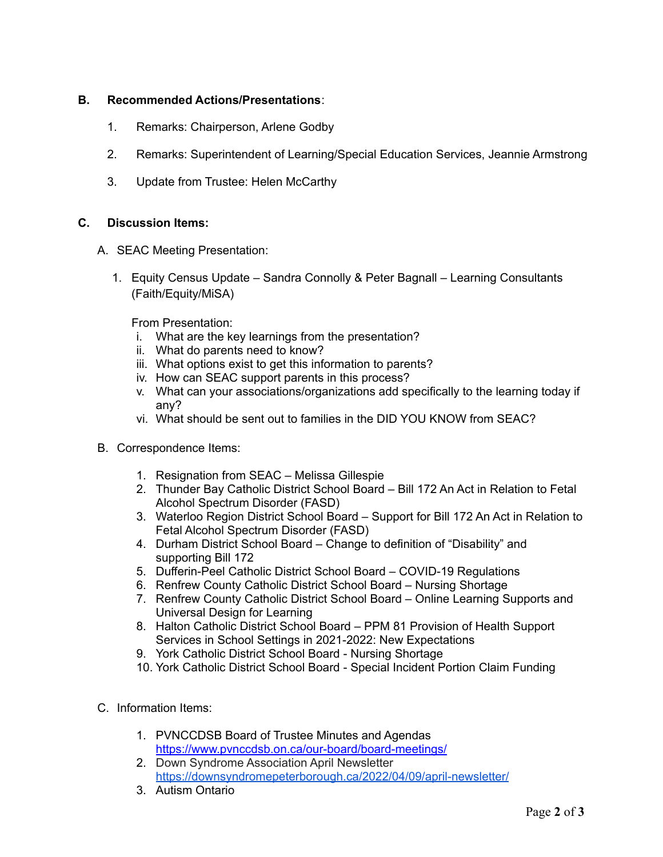## **B. Recommended Actions/Presentations**:

- 1. Remarks: Chairperson, Arlene Godby
- 2. Remarks: Superintendent of Learning/Special Education Services, Jeannie Armstrong
- 3. Update from Trustee: Helen McCarthy

## **C. Discussion Items:**

- A. SEAC Meeting Presentation:
	- 1. Equity Census Update Sandra Connolly & Peter Bagnall Learning Consultants (Faith/Equity/MiSA)

From Presentation:

- i. What are the key learnings from the presentation?
- ii. What do parents need to know?
- iii. What options exist to get this information to parents?
- iv. How can SEAC support parents in this process?
- v. What can your associations/organizations add specifically to the learning today if any?
- vi. What should be sent out to families in the DID YOU KNOW from SEAC?
- B. Correspondence Items:
	- 1. Resignation from SEAC Melissa Gillespie
	- 2. Thunder Bay Catholic District School Board Bill 172 An Act in Relation to Fetal Alcohol Spectrum Disorder (FASD)
	- 3. Waterloo Region District School Board Support for Bill 172 An Act in Relation to Fetal Alcohol Spectrum Disorder (FASD)
	- 4. Durham District School Board Change to definition of "Disability" and supporting Bill 172
	- 5. Dufferin-Peel Catholic District School Board COVID-19 Regulations
	- 6. Renfrew County Catholic District School Board Nursing Shortage
	- 7. Renfrew County Catholic District School Board Online Learning Supports and Universal Design for Learning
	- 8. Halton Catholic District School Board PPM 81 Provision of Health Support Services in School Settings in 2021-2022: New Expectations
	- 9. York Catholic District School Board Nursing Shortage
	- 10. York Catholic District School Board Special Incident Portion Claim Funding
- C. Information Items:
	- 1. PVNCCDSB Board of Trustee Minutes and Agendas <https://www.pvnccdsb.on.ca/our-board/board-meetings/>
	- 2. Down Syndrome Association April Newsletter <https://downsyndromepeterborough.ca/2022/04/09/april-newsletter/>
	- 3. Autism Ontario